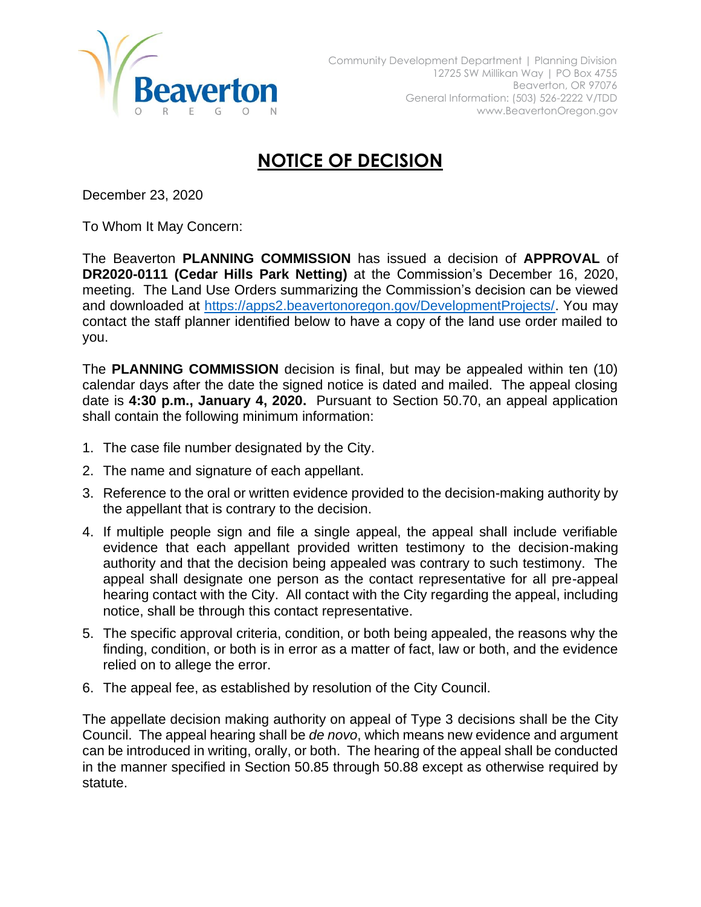

## **NOTICE OF DECISION**

December 23, 2020

To Whom It May Concern:

The Beaverton **PLANNING COMMISSION** has issued a decision of **APPROVAL** of **DR2020-0111 (Cedar Hills Park Netting)** at the Commission's December 16, 2020, meeting. The Land Use Orders summarizing the Commission's decision can be viewed and downloaded at [https://apps2.beavertonoregon.gov/DevelopmentProjects/.](https://apps2.beavertonoregon.gov/DevelopmentProjects/) You may contact the staff planner identified below to have a copy of the land use order mailed to you.

The **PLANNING COMMISSION** decision is final, but may be appealed within ten (10) calendar days after the date the signed notice is dated and mailed. The appeal closing date is **4:30 p.m., January 4, 2020.** Pursuant to Section 50.70, an appeal application shall contain the following minimum information:

- 1. The case file number designated by the City.
- 2. The name and signature of each appellant.
- 3. Reference to the oral or written evidence provided to the decision-making authority by the appellant that is contrary to the decision.
- 4. If multiple people sign and file a single appeal, the appeal shall include verifiable evidence that each appellant provided written testimony to the decision-making authority and that the decision being appealed was contrary to such testimony. The appeal shall designate one person as the contact representative for all pre-appeal hearing contact with the City. All contact with the City regarding the appeal, including notice, shall be through this contact representative.
- 5. The specific approval criteria, condition, or both being appealed, the reasons why the finding, condition, or both is in error as a matter of fact, law or both, and the evidence relied on to allege the error.
- 6. The appeal fee, as established by resolution of the City Council.

The appellate decision making authority on appeal of Type 3 decisions shall be the City Council. The appeal hearing shall be *de novo*, which means new evidence and argument can be introduced in writing, orally, or both. The hearing of the appeal shall be conducted in the manner specified in Section 50.85 through 50.88 except as otherwise required by statute.